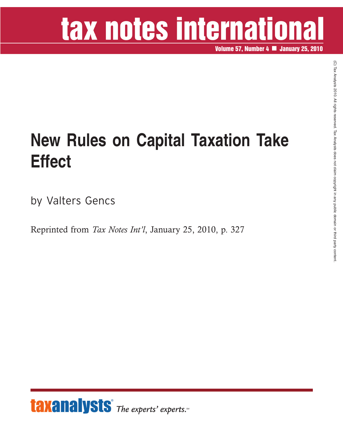# tax notes international

**Volume 57, Number 4 January 25, 2010**

### **New Rules on Capital Taxation Take Effect**

by Valters Gencs

Reprinted from *Tax Notes Int'l*, January 25, 2010, p. 327

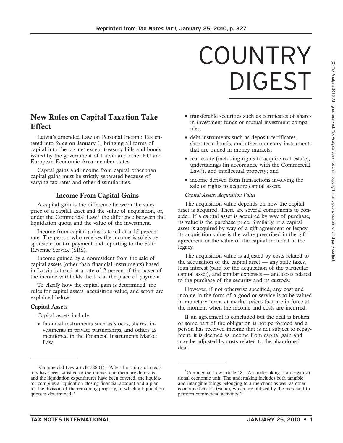## COUNTRY DIGEST

### **New Rules on Capital Taxation Take Effect**

Latvia's amended Law on Personal Income Tax entered into force on January 1, bringing all forms of capital into the tax net except treasury bills and bonds issued by the government of Latvia and other EU and European Economic Area member states.

Capital gains and income from capital other than capital gains must be strictly separated because of varying tax rates and other dissimilarities.

#### **Income From Capital Gains**

A capital gain is the difference between the sales price of a capital asset and the value of acquisition, or, under the Commercial Law,<sup>1</sup> the difference between the liquidation quota and the value of the investment.

Income from capital gains is taxed at a 15 percent rate. The person who receives the income is solely responsible for tax payment and reporting to the State Revenue Service (SRS).

Income gained by a nonresident from the sale of capital assets (other than financial instruments) based in Latvia is taxed at a rate of 2 percent if the payer of the income withholds the tax at the place of payment.

To clarify how the capital gain is determined, the rules for capital assets, acquisition value, and setoff are explained below.

#### **Capital Assets**

Capital assets include:

• financial instruments such as stocks, shares, investments in private partnerships, and others as mentioned in the Financial Instruments Market Law;

- transferable securities such as certificates of shares in investment funds or mutual investment companies;
- debt instruments such as deposit certificates, short-term bonds, and other monetary instruments that are traded in money markets;
- real estate (including rights to acquire real estate), undertakings (in accordance with the Commercial Law<sup>2</sup>), and intellectual property; and
- income derived from transactions involving the sale of rights to acquire capital assets.

#### *Capital Assets: Acquisition Value*

The acquisition value depends on how the capital asset is acquired. There are several components to consider. If a capital asset is acquired by way of purchase, its value is the purchase price. Similarly, if a capital asset is acquired by way of a gift agreement or legacy, its acquisition value is the value prescribed in the gift agreement or the value of the capital included in the legacy.

The acquisition value is adjusted by costs related to the acquisition of the capital asset — any state taxes, loan interest (paid for the acquisition of the particular capital asset), and similar expenses — and costs related to the purchase of the security and its custody.

However, if not otherwise specified, any cost and income in the form of a good or service is to be valued in monetary terms at market prices that are in force at the moment when the income and costs are incurred.

If an agreement is concluded but the deal is broken or some part of the obligation is not performed and a person has received income that is not subject to repayment, it is deemed as income from capital gain and may be adjusted by costs related to the abandoned deal.

 $\widehat{\Omega}$ 

<sup>&</sup>lt;sup>1</sup>Commercial Law article 328 (1): "After the claims of creditors have been satisfied or the monies due them are deposited and the liquidation expenditures have been covered, the liquidator compiles a liquidation closing financial account and a plan for the division of the remaining property, in which a liquidation quota is determined.''

<sup>2</sup> Commercial Law article 18: ''An undertaking is an organizational economic unit. The undertaking includes both tangible and intangible things belonging to a merchant as well as other economic benefits (value), which are utilized by the merchant to perform commercial activities.''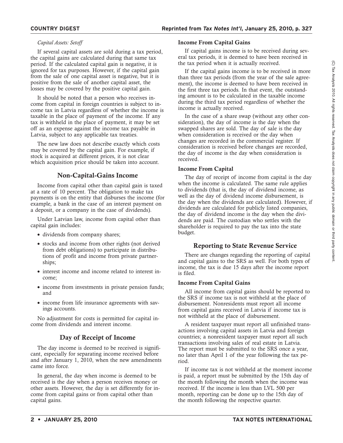#### *Capital Assets: Setoff*

If several capital assets are sold during a tax period, the capital gains are calculated during that same tax period. If the calculated capital gain is negative, it is ignored for tax purposes. However, if the capital gain from the sale of one capital asset is negative, but it is positive from the sale of another capital asset, the losses may be covered by the positive capital gain.

It should be noted that a person who receives income from capital in foreign countries is subject to income tax in Latvia regardless of whether the income is taxable in the place of payment of the income. If any tax is withheld in the place of payment, it may be set off as an expense against the income tax payable in Latvia, subject to any applicable tax treaties.

The new law does not describe exactly which costs may be covered by the capital gain. For example, if stock is acquired at different prices, it is not clear which acquisition price should be taken into account.

#### **Non-Capital-Gains Income**

Income from capital other than capital gain is taxed at a rate of 10 percent. The obligation to make tax payments is on the entity that disburses the income (for example, a bank in the case of an interest payment on a deposit, or a company in the case of dividends).

Under Latvian law, income from capital other than capital gain includes:

- dividends from company shares;
- stocks and income from other rights (not derived from debt obligations) to participate in distributions of profit and income from private partnerships;
- interest income and income related to interest income;
- income from investments in private pension funds; and
- income from life insurance agreements with savings accounts.

No adjustment for costs is permitted for capital income from dividends and interest income.

#### **Day of Receipt of Income**

The day income is deemed to be received is significant, especially for separating income received before and after January 1, 2010, when the new amendments came into force.

In general, the day when income is deemed to be received is the day when a person receives money or other assets. However, the day is set differently for income from capital gains or from capital other than capital gains.

#### **Income From Capital Gains**

If capital gains income is to be received during several tax periods, it is deemed to have been received in the tax period when it is actually received.

If the capital gains income is to be received in more than three tax periods (from the year of the sale agreement), the income is deemed to have been received in the first three tax periods. In that event, the outstanding amount is to be calculated in the taxable income during the third tax period regardless of whether the income is actually received.

In the case of a share swap (without any other consideration), the day of income is the day when the swapped shares are sold. The day of sale is the day when consideration is received or the day when changes are recorded in the commercial register. If consideration is received before changes are recorded, the day of income is the day when consideration is received.

#### **Income From Capital**

The day of receipt of income from capital is the day when the income is calculated. The same rule applies to dividends (that is, the day of dividend income, as well as the day of dividend income disbursement, is the day when the dividends are calculated). However, if dividends are calculated for publicly listed companies, the day of dividend income is the day when the dividends are paid. The custodian who settles with the shareholder is required to pay the tax into the state budget.

#### **Reporting to State Revenue Service**

There are changes regarding the reporting of capital and capital gains to the SRS as well. For both types of income, the tax is due 15 days after the income report is filed.

#### **Income From Capital Gains**

All income from capital gains should be reported to the SRS if income tax is not withheld at the place of disbursement. Nonresidents must report all income from capital gains received in Latvia if income tax is not withheld at the place of disbursement.

A resident taxpayer must report all unfinished transactions involving capital assets in Latvia and foreign countries; a nonresident taxpayer must report all such transactions involving sales of real estate in Latvia. The report must be submitted to the SRS once a year, no later than April 1 of the year following the tax period.

If income tax is not withheld at the moment income is paid, a report must be submitted by the 15th day of the month following the month when the income was received. If the income is less than LVL 500 per month, reporting can be done up to the 15th day of the month following the respective quarter.

 $\widehat{\Omega}$